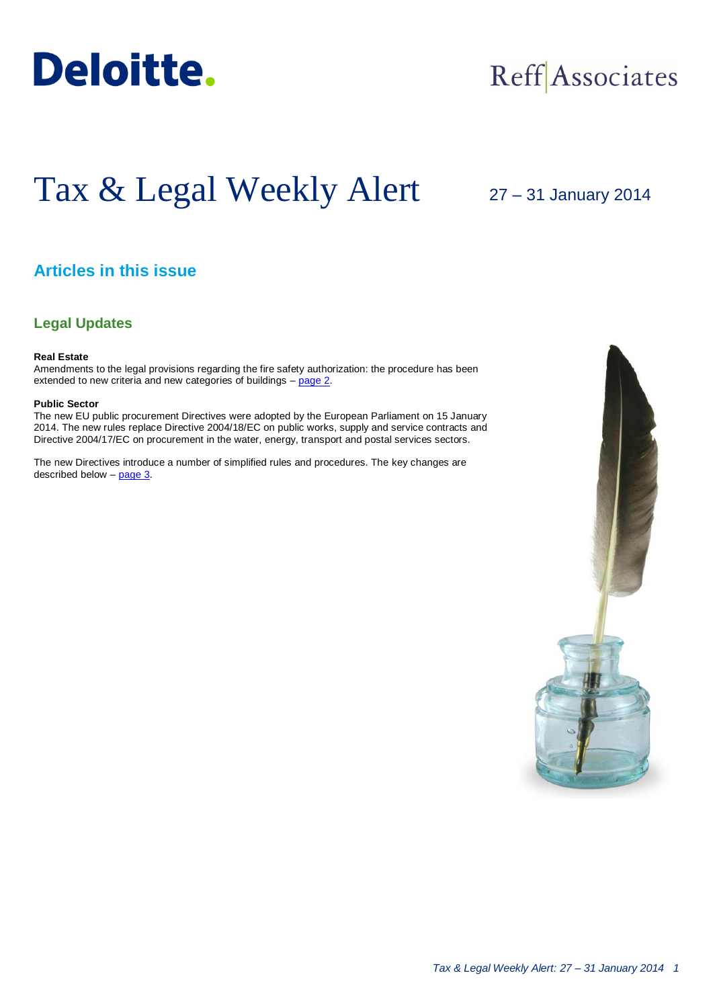

## Reff Associates

# Tax & Legal Weekly Alert

## 27 – 31 January 2014

## **Articles in this issue**

### **Legal Updates**

#### **Real Estate**

Amendments to the legal provisions regarding the fire safety authorization: the procedure has been extended to new criteria and new categories of buildings – [page 2.](#page-1-0)

#### **Public Sector**

The new EU public procurement Directives were adopted by the European Parliament on 15 January 2014. The new rules replace Directive 2004/18/EC on public works, supply and service contracts and Directive 2004/17/EC on procurement in the water, energy, transport and postal services sectors.

The new Directives introduce a number of simplified rules and procedures. The key changes are described below  $-$  page  $3$ .

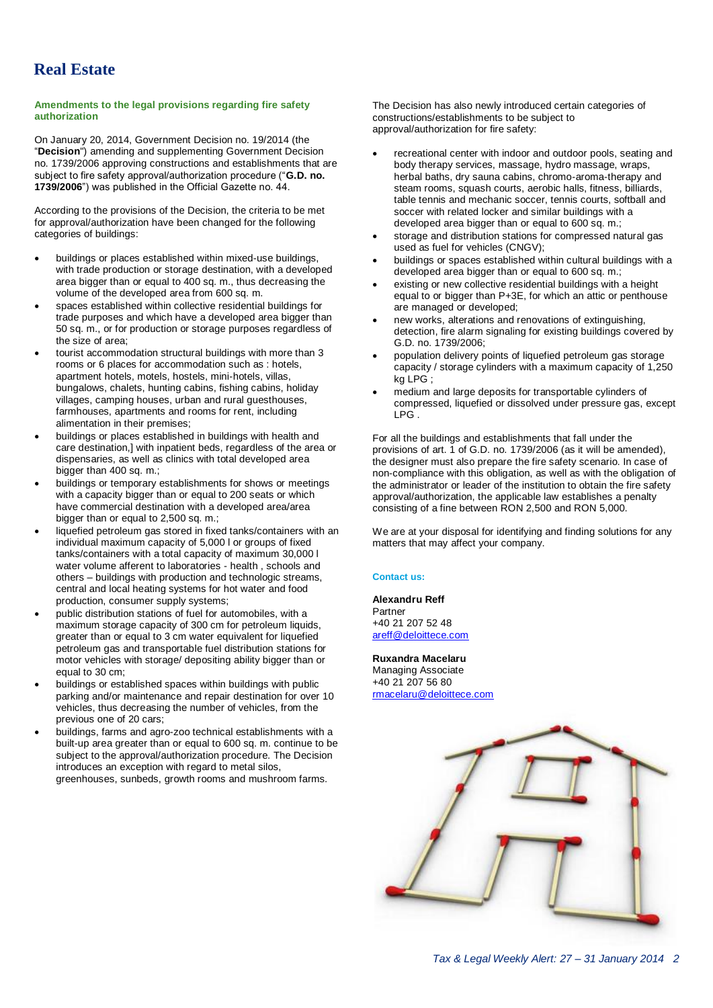## <span id="page-1-0"></span>**Real Estate**

#### **Amendments to the legal provisions regarding fire safety authorization**

On January 20, 2014, Government Decision no. 19/2014 (the "**Decision**") amending and supplementing Government Decision no. 1739/2006 approving constructions and establishments that are subject to fire safety approval/authorization procedure ("**G.D. no. 1739/2006**") was published in the Official Gazette no. 44.

According to the provisions of the Decision, the criteria to be met for approval/authorization have been changed for the following categories of buildings:

- buildings or places established within mixed-use buildings, with trade production or storage destination, with a developed area bigger than or equal to 400 sq. m., thus decreasing the volume of the developed area from 600 sq. m.
- spaces established within collective residential buildings for trade purposes and which have a developed area bigger than 50 sq. m., or for production or storage purposes regardless of the size of area;
- tourist accommodation structural buildings with more than 3 rooms or 6 places for accommodation such as : hotels, apartment hotels, motels, hostels, mini-hotels, villas, bungalows, chalets, hunting cabins, fishing cabins, holiday villages, camping houses, urban and rural guesthouses, farmhouses, apartments and rooms for rent, including alimentation in their premises;
- buildings or places established in buildings with health and care destination,] with inpatient beds, regardless of the area or dispensaries, as well as clinics with total developed area bigger than 400 sq. m.;
- buildings or temporary establishments for shows or meetings with a capacity bigger than or equal to 200 seats or which have commercial destination with a developed area/area bigger than or equal to 2,500 sq. m.;
- liquefied petroleum gas stored in fixed tanks/containers with an individual maximum capacity of 5,000 l or groups of fixed tanks/containers with a total capacity of maximum 30,000 l water volume afferent to laboratories - health, schools and others – buildings with production and technologic streams, central and local heating systems for hot water and food production, consumer supply systems;
- public distribution stations of fuel for automobiles, with a maximum storage capacity of 300 cm for petroleum liquids, greater than or equal to 3 cm water equivalent for liquefied petroleum gas and transportable fuel distribution stations for motor vehicles with storage/ depositing ability bigger than or equal to 30 cm;
- buildings or established spaces within buildings with public parking and/or maintenance and repair destination for over 10 vehicles, thus decreasing the number of vehicles, from the previous one of 20 cars;
- buildings, farms and agro-zoo technical establishments with a built-up area greater than or equal to 600 sq. m. continue to be subject to the approval/authorization procedure. The Decision introduces an exception with regard to metal silos, greenhouses, sunbeds, growth rooms and mushroom farms.

The Decision has also newly introduced certain categories of constructions/establishments to be subject to approval/authorization for fire safety:

- recreational center with indoor and outdoor pools, seating and body therapy services, massage, hydro massage, wraps, herbal baths, dry sauna cabins, chromo-aroma-therapy and steam rooms, squash courts, aerobic halls, fitness, billiards, table tennis and mechanic soccer, tennis courts, softball and soccer with related locker and similar buildings with a developed area bigger than or equal to 600 sq. m.;
- storage and distribution stations for compressed natural gas used as fuel for vehicles (CNGV);
- buildings or spaces established within cultural buildings with a developed area bigger than or equal to 600 sq. m.;
- existing or new collective residential buildings with a height equal to or bigger than P+3E, for which an attic or penthouse are managed or developed;
- new works, alterations and renovations of extinguishing, detection, fire alarm signaling for existing buildings covered by G.D. no. 1739/2006;
- population delivery points of liquefied petroleum gas storage capacity / storage cylinders with a maximum capacity of 1,250 kg LPG ;
- medium and large deposits for transportable cylinders of compressed, liquefied or dissolved under pressure gas, except  $IPG.$

For all the buildings and establishments that fall under the provisions of art. 1 of G.D. no. 1739/2006 (as it will be amended), the designer must also prepare the fire safety scenario. In case of non-compliance with this obligation, as well as with the obligation of the administrator or leader of the institution to obtain the fire safety approval/authorization, the applicable law establishes a penalty consisting of a fine between RON 2,500 and RON 5,000.

We are at your disposal for identifying and finding solutions for any matters that may affect your company.

#### **Contact us:**

**Alexandru Reff** Partner +40 21 207 52 48 [areff@deloittece.com](mailto:areff@deloittece.com)

**Ruxandra Macelaru** Managing Associate +40 21 207 56 80 [rmacelaru@deloittece.com](mailto:rmacelaru@deloittece.com)

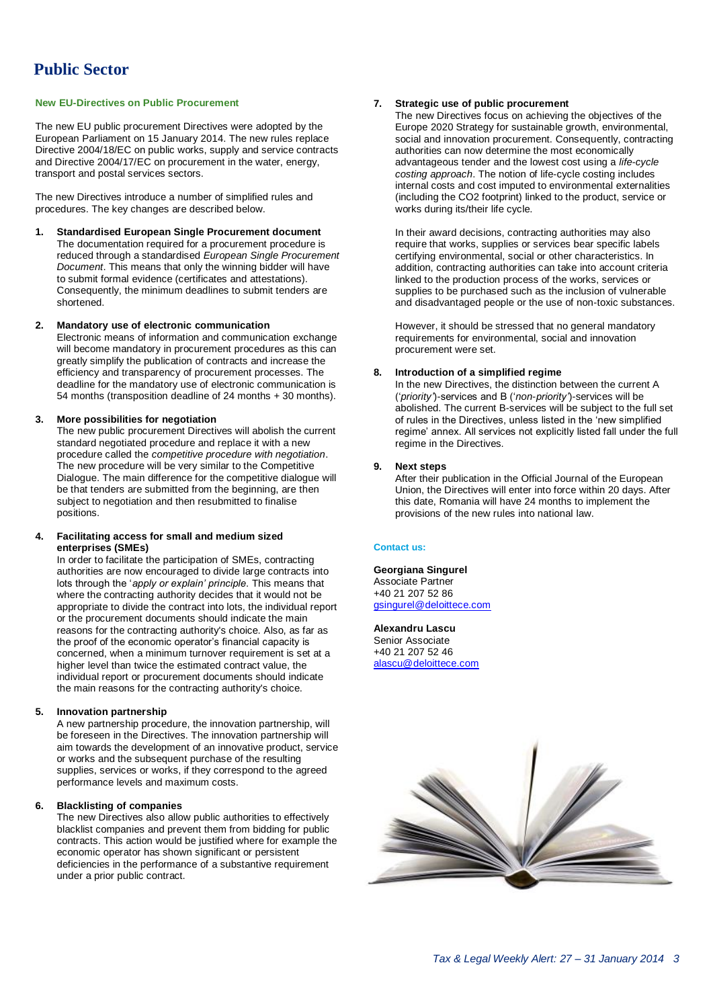#### <span id="page-2-0"></span>**New EU-Directives on Public Procurement**

The new EU public procurement Directives were adopted by the European Parliament on 15 January 2014. The new rules replace Directive 2004/18/EC on public works, supply and service contracts and Directive 2004/17/EC on procurement in the water, energy, transport and postal services sectors.

The new Directives introduce a number of simplified rules and procedures. The key changes are described below.

**1. Standardised European Single Procurement document** The documentation required for a procurement procedure is reduced through a standardised *European Single Procurement Document*. This means that only the winning bidder will have to submit formal evidence (certificates and attestations). Consequently, the minimum deadlines to submit tenders are shortened.

#### **2. Mandatory use of electronic communication**

Electronic means of information and communication exchange will become mandatory in procurement procedures as this can greatly simplify the publication of contracts and increase the efficiency and transparency of procurement processes. The deadline for the mandatory use of electronic communication is 54 months (transposition deadline of 24 months + 30 months).

#### **3. More possibilities for negotiation**

The new public procurement Directives will abolish the current standard negotiated procedure and replace it with a new procedure called the *competitive procedure with negotiation*. The new procedure will be very similar to the Competitive Dialogue. The main difference for the competitive dialogue will be that tenders are submitted from the beginning, are then subject to negotiation and then resubmitted to finalise positions.

#### **4. Facilitating access for small and medium sized enterprises (SMEs)**

In order to facilitate the participation of SMEs, contracting authorities are now encouraged to divide large contracts into lots through the '*apply or explain' principle*. This means that where the contracting authority decides that it would not be appropriate to divide the contract into lots, the individual report or the procurement documents should indicate the main reasons for the contracting authority's choice. Also, as far as the proof of the economic operator's financial capacity is concerned, when a minimum turnover requirement is set at a higher level than twice the estimated contract value, the individual report or procurement documents should indicate the main reasons for the contracting authority's choice.

#### **5. Innovation partnership**

A new partnership procedure, the innovation partnership, will be foreseen in the Directives. The innovation partnership will aim towards the development of an innovative product, service or works and the subsequent purchase of the resulting supplies, services or works, if they correspond to the agreed performance levels and maximum costs.

#### **6. Blacklisting of companies**

The new Directives also allow public authorities to effectively blacklist companies and prevent them from bidding for public contracts. This action would be justified where for example the economic operator has shown significant or persistent deficiencies in the performance of a substantive requirement under a prior public contract.

#### **7. Strategic use of public procurement**

The new Directives focus on achieving the objectives of the Europe 2020 Strategy for sustainable growth, environmental, social and innovation procurement. Consequently, contracting authorities can now determine the most economically advantageous tender and the lowest cost using a *life-cycle costing approach*. The notion of life-cycle costing includes internal costs and cost imputed to environmental externalities (including the CO2 footprint) linked to the product, service or works during its/their life cycle.

In their award decisions, contracting authorities may also require that works, supplies or services bear specific labels certifying environmental, social or other characteristics. In addition, contracting authorities can take into account criteria linked to the production process of the works, services or supplies to be purchased such as the inclusion of vulnerable and disadvantaged people or the use of non-toxic substances.

However, it should be stressed that no general mandatory requirements for environmental, social and innovation procurement were set.

#### **8. Introduction of a simplified regime**

In the new Directives, the distinction between the current A ('*priority'*)-services and B ('*non-priority'*)-services will be abolished. The current B-services will be subject to the full set of rules in the Directives, unless listed in the 'new simplified regime' annex. All services not explicitly listed fall under the full regime in the Directives.

#### **9. Next steps**

After their publication in the Official Journal of the European Union, the Directives will enter into force within 20 days. After this date, Romania will have 24 months to implement the provisions of the new rules into national law.

#### **Contact us:**

#### **Georgiana Singurel** Associate Partner +40 21 207 52 86

[gsingurel@deloittece.com](mailto:gsingurel@deloittece.com)

**Alexandru Lascu** Senior Associate +40 21 207 52 46 [alascu@deloittece.com](mailto:alascu@deloittece.com)